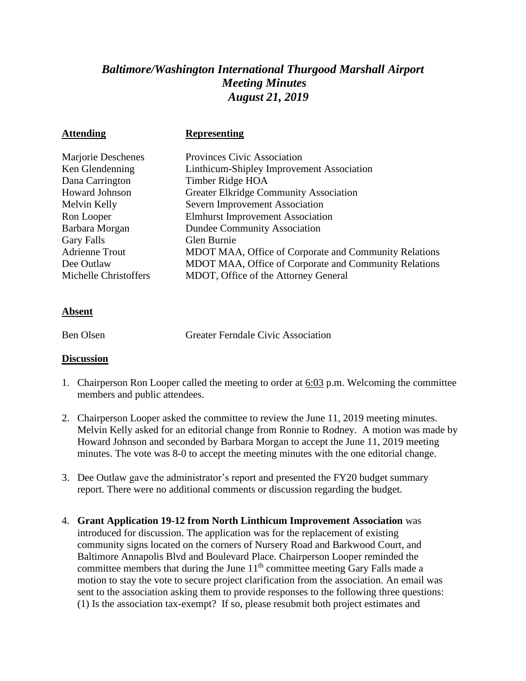## *Baltimore/Washington International Thurgood Marshall Airport Meeting Minutes August 21, 2019*

| <b>Attending</b>      | <b>Representing</b>                                   |
|-----------------------|-------------------------------------------------------|
| Marjorie Deschenes    | <b>Provinces Civic Association</b>                    |
| Ken Glendenning       | Linthicum-Shipley Improvement Association             |
| Dana Carrington       | Timber Ridge HOA                                      |
| <b>Howard Johnson</b> | <b>Greater Elkridge Community Association</b>         |
| Melvin Kelly          | Severn Improvement Association                        |
| Ron Looper            | <b>Elmhurst Improvement Association</b>               |
| Barbara Morgan        | <b>Dundee Community Association</b>                   |
| <b>Gary Falls</b>     | Glen Burnie                                           |
| <b>Adrienne Trout</b> | MDOT MAA, Office of Corporate and Community Relations |
| Dee Outlaw            | MDOT MAA, Office of Corporate and Community Relations |
| Michelle Christoffers | MDOT, Office of the Attorney General                  |
|                       |                                                       |

## **Absent**

Ben Olsen Greater Ferndale Civic Association

## **Discussion**

- 1. Chairperson Ron Looper called the meeting to order at 6:03 p.m. Welcoming the committee members and public attendees.
- 2. Chairperson Looper asked the committee to review the June 11, 2019 meeting minutes. Melvin Kelly asked for an editorial change from Ronnie to Rodney. A motion was made by Howard Johnson and seconded by Barbara Morgan to accept the June 11, 2019 meeting minutes. The vote was 8-0 to accept the meeting minutes with the one editorial change.
- 3. Dee Outlaw gave the administrator's report and presented the FY20 budget summary report. There were no additional comments or discussion regarding the budget.
- 4. **Grant Application 19-12 from North Linthicum Improvement Association** was introduced for discussion. The application was for the replacement of existing community signs located on the corners of Nursery Road and Barkwood Court, and Baltimore Annapolis Blvd and Boulevard Place. Chairperson Looper reminded the committee members that during the June 11<sup>th</sup> committee meeting Gary Falls made a motion to stay the vote to secure project clarification from the association. An email was sent to the association asking them to provide responses to the following three questions: (1) Is the association tax-exempt? If so, please resubmit both project estimates and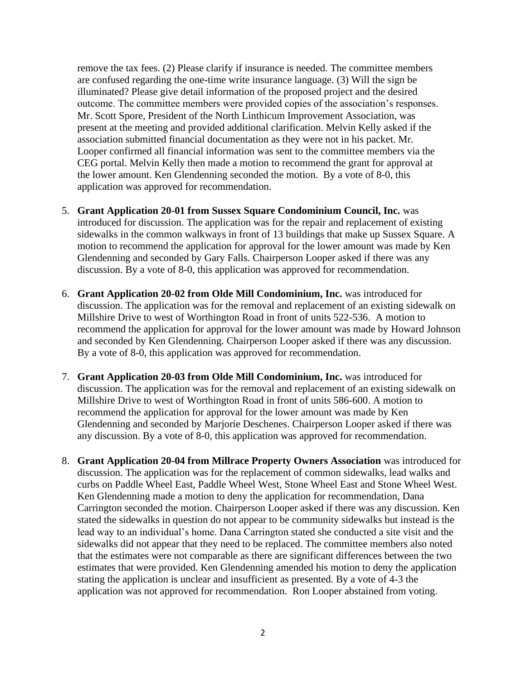remove the tax fees. (2) Please clarify if insurance is needed. The committee members are confused regarding the one-time write insurance language. (3) Will the sign be illuminated? Please give detail information of the proposed project and the desired outcome. The committee members were provided copies of the association's responses. Mr. Scott Spore, President of the North Linthicum Improvement Association, was present at the meeting and provided additional clarification. Melvin Kelly asked if the association submitted financial documentation as they were not in his packet. Mr. Looper confirmed all financial information was sent to the committee members via the CEG portal. Melvin Kelly then made a motion to recommend the grant for approval at the lower amount. Ken Glendenning seconded the motion. By a vote of 8-0, this application was approved for recommendation.

- 5. **Grant Application 20-01 from Sussex Square Condominium Council, Inc.** was introduced for discussion. The application was for the repair and replacement of existing sidewalks in the common walkways in front of 13 buildings that make up Sussex Square. A motion to recommend the application for approval for the lower amount was made by Ken Glendenning and seconded by Gary Falls. Chairperson Looper asked if there was any discussion. By a vote of 8-0, this application was approved for recommendation.
- 6. **Grant Application 20-02 from Olde Mill Condominium, Inc.** was introduced for discussion. The application was for the removal and replacement of an existing sidewalk on Millshire Drive to west of Worthington Road in front of units 522-536. A motion to recommend the application for approval for the lower amount was made by Howard Johnson and seconded by Ken Glendenning. Chairperson Looper asked if there was any discussion. By a vote of 8-0, this application was approved for recommendation.
- 7. **Grant Application 20-03 from Olde Mill Condominium, Inc.** was introduced for discussion. The application was for the removal and replacement of an existing sidewalk on Millshire Drive to west of Worthington Road in front of units 586-600. A motion to recommend the application for approval for the lower amount was made by Ken Glendenning and seconded by Marjorie Deschenes. Chairperson Looper asked if there was any discussion. By a vote of 8-0, this application was approved for recommendation.
- 8. **Grant Application 20-04 from Millrace Property Owners Association** was introduced for discussion. The application was for the replacement of common sidewalks, lead walks and curbs on Paddle Wheel East, Paddle Wheel West, Stone Wheel East and Stone Wheel West. Ken Glendenning made a motion to deny the application for recommendation, Dana Carrington seconded the motion. Chairperson Looper asked if there was any discussion. Ken stated the sidewalks in question do not appear to be community sidewalks but instead is the lead way to an individual's home. Dana Carrington stated she conducted a site visit and the sidewalks did not appear that they need to be replaced. The committee members also noted that the estimates were not comparable as there are significant differences between the two estimates that were provided. Ken Glendenning amended his motion to deny the application stating the application is unclear and insufficient as presented. By a vote of 4-3 the application was not approved for recommendation. Ron Looper abstained from voting.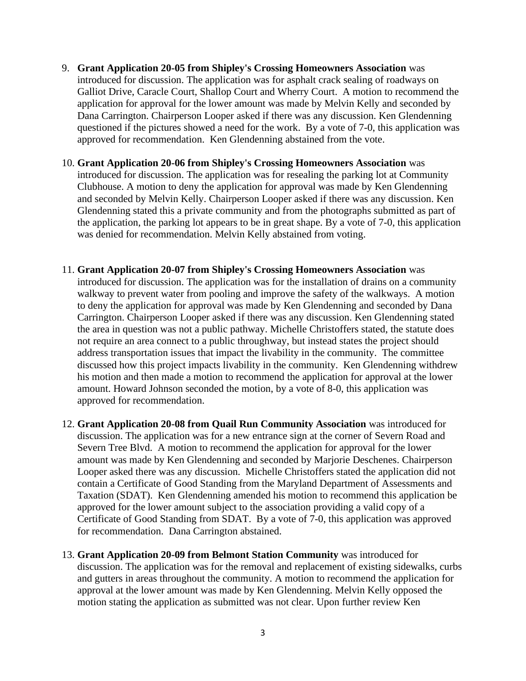- 9. **Grant Application 20-05 from Shipley's Crossing Homeowners Association** was introduced for discussion. The application was for asphalt crack sealing of roadways on Galliot Drive, Caracle Court, Shallop Court and Wherry Court. A motion to recommend the application for approval for the lower amount was made by Melvin Kelly and seconded by Dana Carrington. Chairperson Looper asked if there was any discussion. Ken Glendenning questioned if the pictures showed a need for the work. By a vote of 7-0, this application was approved for recommendation. Ken Glendenning abstained from the vote.
- 10. **Grant Application 20-06 from Shipley's Crossing Homeowners Association** was introduced for discussion. The application was for resealing the parking lot at Community Clubhouse. A motion to deny the application for approval was made by Ken Glendenning and seconded by Melvin Kelly. Chairperson Looper asked if there was any discussion. Ken Glendenning stated this a private community and from the photographs submitted as part of the application, the parking lot appears to be in great shape. By a vote of 7-0, this application was denied for recommendation. Melvin Kelly abstained from voting.
- 11. **Grant Application 20-07 from Shipley's Crossing Homeowners Association** was introduced for discussion. The application was for the installation of drains on a community walkway to prevent water from pooling and improve the safety of the walkways. A motion to deny the application for approval was made by Ken Glendenning and seconded by Dana Carrington. Chairperson Looper asked if there was any discussion. Ken Glendenning stated the area in question was not a public pathway. Michelle Christoffers stated, the statute does not require an area connect to a public throughway, but instead states the project should address transportation issues that impact the livability in the community. The committee discussed how this project impacts livability in the community. Ken Glendenning withdrew his motion and then made a motion to recommend the application for approval at the lower amount. Howard Johnson seconded the motion, by a vote of 8-0, this application was approved for recommendation.
- 12. **Grant Application 20-08 from Quail Run Community Association** was introduced for discussion. The application was for a new entrance sign at the corner of Severn Road and Severn Tree Blvd. A motion to recommend the application for approval for the lower amount was made by Ken Glendenning and seconded by Marjorie Deschenes. Chairperson Looper asked there was any discussion. Michelle Christoffers stated the application did not contain a Certificate of Good Standing from the Maryland Department of Assessments and Taxation (SDAT). Ken Glendenning amended his motion to recommend this application be approved for the lower amount subject to the association providing a valid copy of a Certificate of Good Standing from SDAT. By a vote of 7-0, this application was approved for recommendation. Dana Carrington abstained.
- 13. **Grant Application 20-09 from Belmont Station Community** was introduced for discussion. The application was for the removal and replacement of existing sidewalks, curbs and gutters in areas throughout the community. A motion to recommend the application for approval at the lower amount was made by Ken Glendenning. Melvin Kelly opposed the motion stating the application as submitted was not clear. Upon further review Ken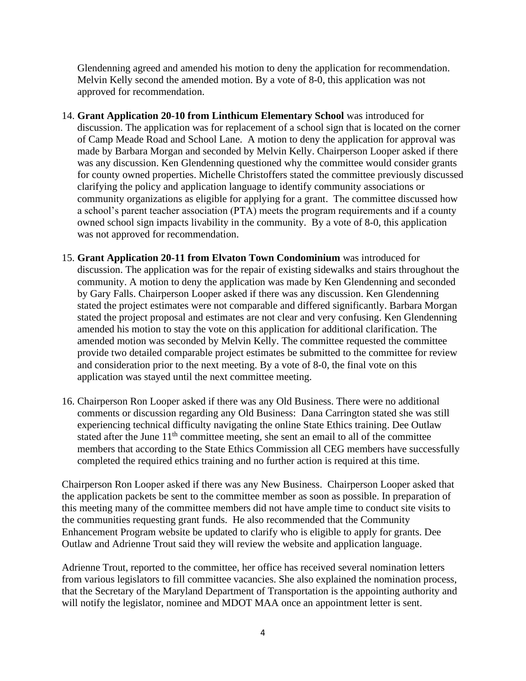Glendenning agreed and amended his motion to deny the application for recommendation. Melvin Kelly second the amended motion. By a vote of 8-0, this application was not approved for recommendation.

- 14. **Grant Application 20-10 from Linthicum Elementary School** was introduced for discussion. The application was for replacement of a school sign that is located on the corner of Camp Meade Road and School Lane. A motion to deny the application for approval was made by Barbara Morgan and seconded by Melvin Kelly. Chairperson Looper asked if there was any discussion. Ken Glendenning questioned why the committee would consider grants for county owned properties. Michelle Christoffers stated the committee previously discussed clarifying the policy and application language to identify community associations or community organizations as eligible for applying for a grant. The committee discussed how a school's parent teacher association (PTA) meets the program requirements and if a county owned school sign impacts livability in the community. By a vote of 8-0, this application was not approved for recommendation.
- 15. **Grant Application 20-11 from Elvaton Town Condominium** was introduced for discussion. The application was for the repair of existing sidewalks and stairs throughout the community. A motion to deny the application was made by Ken Glendenning and seconded by Gary Falls. Chairperson Looper asked if there was any discussion. Ken Glendenning stated the project estimates were not comparable and differed significantly. Barbara Morgan stated the project proposal and estimates are not clear and very confusing. Ken Glendenning amended his motion to stay the vote on this application for additional clarification. The amended motion was seconded by Melvin Kelly. The committee requested the committee provide two detailed comparable project estimates be submitted to the committee for review and consideration prior to the next meeting. By a vote of 8-0, the final vote on this application was stayed until the next committee meeting.
- 16. Chairperson Ron Looper asked if there was any Old Business. There were no additional comments or discussion regarding any Old Business: Dana Carrington stated she was still experiencing technical difficulty navigating the online State Ethics training. Dee Outlaw stated after the June  $11<sup>th</sup>$  committee meeting, she sent an email to all of the committee members that according to the State Ethics Commission all CEG members have successfully completed the required ethics training and no further action is required at this time.

Chairperson Ron Looper asked if there was any New Business. Chairperson Looper asked that the application packets be sent to the committee member as soon as possible. In preparation of this meeting many of the committee members did not have ample time to conduct site visits to the communities requesting grant funds. He also recommended that the Community Enhancement Program website be updated to clarify who is eligible to apply for grants. Dee Outlaw and Adrienne Trout said they will review the website and application language.

Adrienne Trout, reported to the committee, her office has received several nomination letters from various legislators to fill committee vacancies. She also explained the nomination process, that the Secretary of the Maryland Department of Transportation is the appointing authority and will notify the legislator, nominee and MDOT MAA once an appointment letter is sent.